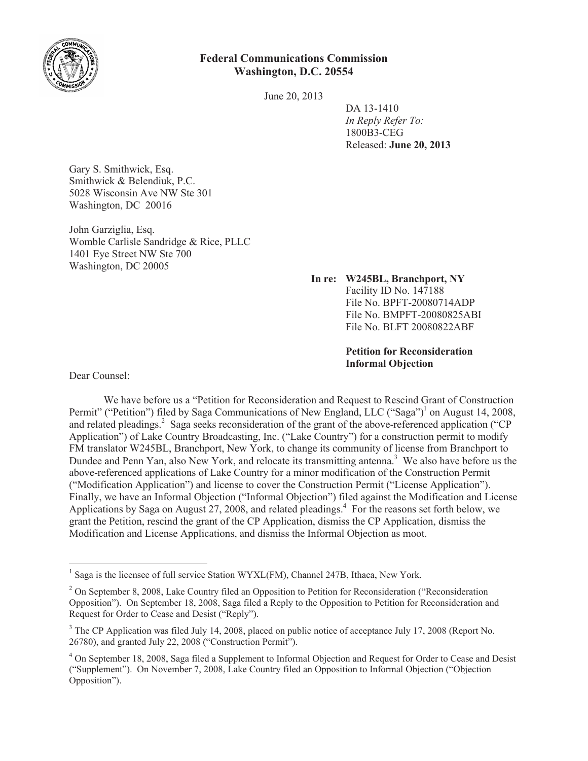

## **Federal Communications Commission Washington, D.C. 20554**

June 20, 2013

DA 13-1410 *In Reply Refer To:* 1800B3-CEG Released: **June 20, 2013**

Gary S. Smithwick, Esq. Smithwick & Belendiuk, P.C. 5028 Wisconsin Ave NW Ste 301 Washington, DC 20016

John Garziglia, Esq. Womble Carlisle Sandridge & Rice, PLLC 1401 Eye Street NW Ste 700 Washington, DC 20005

**In re: W245BL, Branchport, NY**

Facility ID No. 147188 File No. BPFT-20080714ADP File No. BMPFT-20080825ABI File No. BLFT 20080822ABF

**Petition for Reconsideration Informal Objection**

Dear Counsel:

We have before us a "Petition for Reconsideration and Request to Rescind Grant of Construction Permit" ("Petition") filed by Saga Communications of New England, LLC ("Saga")<sup>1</sup> on August 14, 2008, and related pleadings.<sup>2</sup> Saga seeks reconsideration of the grant of the above-referenced application ("CP Application") of Lake Country Broadcasting, Inc. ("Lake Country") for a construction permit to modify FM translator W245BL, Branchport, New York, to change its community of license from Branchport to Dundee and Penn Yan, also New York, and relocate its transmitting antenna.<sup>3</sup> We also have before us the above-referenced applications of Lake Country for a minor modification of the Construction Permit ("Modification Application") and license to cover the Construction Permit ("License Application"). Finally, we have an Informal Objection ("Informal Objection") filed against the Modification and License Applications by Saga on August 27, 2008, and related pleadings.<sup>4</sup> For the reasons set forth below, we grant the Petition, rescind the grant of the CP Application, dismiss the CP Application, dismiss the Modification and License Applications, and dismiss the Informal Objection as moot.

<sup>&</sup>lt;sup>1</sup> Saga is the licensee of full service Station WYXL(FM), Channel 247B, Ithaca, New York.

<sup>&</sup>lt;sup>2</sup> On September 8, 2008, Lake Country filed an Opposition to Petition for Reconsideration ("Reconsideration") Opposition"). On September 18, 2008, Saga filed a Reply to the Opposition to Petition for Reconsideration and Request for Order to Cease and Desist ("Reply").

<sup>&</sup>lt;sup>3</sup> The CP Application was filed July 14, 2008, placed on public notice of acceptance July 17, 2008 (Report No. 26780), and granted July 22, 2008 ("Construction Permit").

<sup>4</sup> On September 18, 2008, Saga filed a Supplement to Informal Objection and Request for Order to Cease and Desist ("Supplement"). On November 7, 2008, Lake Country filed an Opposition to Informal Objection ("Objection Opposition").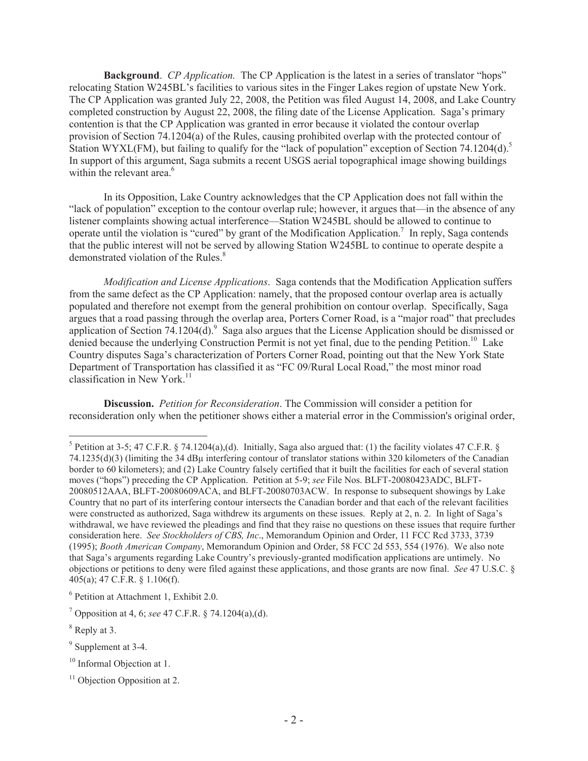**Background**. *CP Application.* The CP Application is the latest in a series of translator "hops" relocating Station W245BL's facilities to various sites in the Finger Lakes region of upstate New York. The CP Application was granted July 22, 2008, the Petition was filed August 14, 2008, and Lake Country completed construction by August 22, 2008, the filing date of the License Application. Saga's primary contention is that the CP Application was granted in error because it violated the contour overlap provision of Section 74.1204(a) of the Rules, causing prohibited overlap with the protected contour of Station WYXL(FM), but failing to qualify for the "lack of population" exception of Section 74.1204(d).<sup>5</sup> In support of this argument, Saga submits a recent USGS aerial topographical image showing buildings within the relevant area.<sup>6</sup>

In its Opposition, Lake Country acknowledges that the CP Application does not fall within the "lack of population" exception to the contour overlap rule; however, it argues that—in the absence of any listener complaints showing actual interference—Station W245BL should be allowed to continue to operate until the violation is "cured" by grant of the Modification Application.<sup>7</sup> In reply, Saga contends that the public interest will not be served by allowing Station W245BL to continue to operate despite a demonstrated violation of the Rules.<sup>8</sup>

*Modification and License Applications*. Saga contends that the Modification Application suffers from the same defect as the CP Application: namely, that the proposed contour overlap area is actually populated and therefore not exempt from the general prohibition on contour overlap. Specifically, Saga argues that a road passing through the overlap area, Porters Corner Road, is a "major road" that precludes application of Section 74.1204 $(d)$ .<sup>9</sup> Saga also argues that the License Application should be dismissed or denied because the underlying Construction Permit is not yet final, due to the pending Petition.<sup>10</sup> Lake Country disputes Saga's characterization of Porters Corner Road, pointing out that the New York State Department of Transportation has classified it as "FC 09/Rural Local Road," the most minor road classification in New York. $11$ 

**Discussion.** *Petition for Reconsideration*. The Commission will consider a petition for reconsideration only when the petitioner shows either a material error in the Commission's original order,

<sup>&</sup>lt;sup>5</sup> Petition at 3-5; 47 C.F.R. § 74.1204(a),(d). Initially, Saga also argued that: (1) the facility violates 47 C.F.R. § 74.1235(d)(3) (limiting the 34 dBμ interfering contour of translator stations within 320 kilometers of the Canadian border to 60 kilometers); and (2) Lake Country falsely certified that it built the facilities for each of several station moves ("hops") preceding the CP Application. Petition at 5-9; *see* File Nos. BLFT-20080423ADC, BLFT-20080512AAA, BLFT-20080609ACA, and BLFT-20080703ACW. In response to subsequent showings by Lake Country that no part of its interfering contour intersects the Canadian border and that each of the relevant facilities were constructed as authorized, Saga withdrew its arguments on these issues. Reply at 2, n. 2. In light of Saga's withdrawal, we have reviewed the pleadings and find that they raise no questions on these issues that require further consideration here. *See Stockholders of CBS, Inc*., Memorandum Opinion and Order, 11 FCC Rcd 3733, 3739 (1995); *Booth American Company*, Memorandum Opinion and Order, 58 FCC 2d 553, 554 (1976). We also note that Saga's arguments regarding Lake Country's previously-granted modification applications are untimely. No objections or petitions to deny were filed against these applications, and those grants are now final. *See* 47 U.S.C. § 405(a); 47 C.F.R. § 1.106(f).

<sup>6</sup> Petition at Attachment 1, Exhibit 2.0.

<sup>7</sup> Opposition at 4, 6; *see* 47 C.F.R. § 74.1204(a),(d).

<sup>8</sup> Reply at 3.

<sup>&</sup>lt;sup>9</sup> Supplement at 3-4.

<sup>&</sup>lt;sup>10</sup> Informal Objection at 1.

 $11$  Objection Opposition at 2.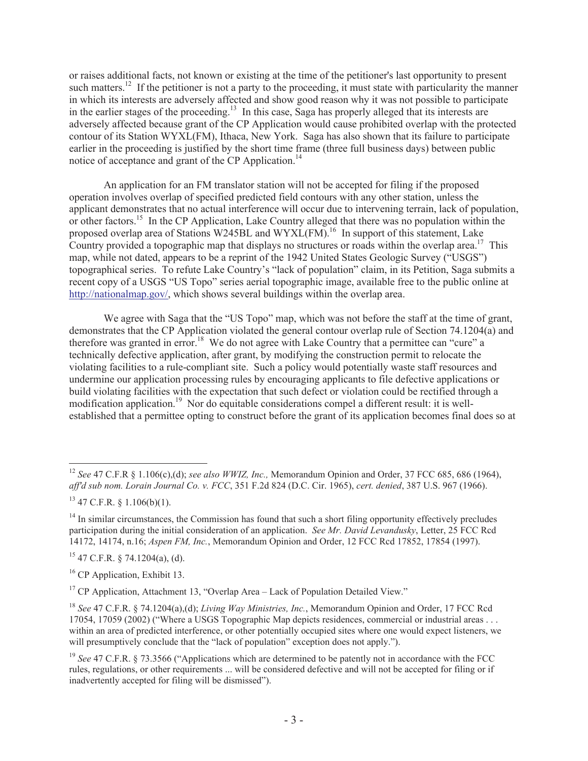or raises additional facts, not known or existing at the time of the petitioner's last opportunity to present such matters.<sup>12</sup> If the petitioner is not a party to the proceeding, it must state with particularity the manner in which its interests are adversely affected and show good reason why it was not possible to participate in the earlier stages of the proceeding.<sup>13</sup> In this case, Saga has properly alleged that its interests are adversely affected because grant of the CP Application would cause prohibited overlap with the protected contour of its Station WYXL(FM), Ithaca, New York. Saga has also shown that its failure to participate earlier in the proceeding is justified by the short time frame (three full business days) between public notice of acceptance and grant of the CP Application.<sup>14</sup>

An application for an FM translator station will not be accepted for filing if the proposed operation involves overlap of specified predicted field contours with any other station, unless the applicant demonstrates that no actual interference will occur due to intervening terrain, lack of population, or other factors.<sup>15</sup> In the CP Application, Lake Country alleged that there was no population within the proposed overlap area of Stations W245BL and WYXL(FM).<sup>16</sup> In support of this statement, Lake Country provided a topographic map that displays no structures or roads within the overlap area.<sup>17</sup> This map, while not dated, appears to be a reprint of the 1942 United States Geologic Survey ("USGS") topographical series. To refute Lake Country's "lack of population" claim, in its Petition, Saga submits a recent copy of a USGS "US Topo" series aerial topographic image, available free to the public online at http://nationalmap.gov/, which shows several buildings within the overlap area.

We agree with Saga that the "US Topo" map, which was not before the staff at the time of grant, demonstrates that the CP Application violated the general contour overlap rule of Section 74.1204(a) and therefore was granted in error.<sup>18</sup> We do not agree with Lake Country that a permittee can "cure" a technically defective application, after grant, by modifying the construction permit to relocate the violating facilities to a rule-compliant site. Such a policy would potentially waste staff resources and undermine our application processing rules by encouraging applicants to file defective applications or build violating facilities with the expectation that such defect or violation could be rectified through a modification application.<sup>19</sup> Nor do equitable considerations compel a different result: it is wellestablished that a permittee opting to construct before the grant of its application becomes final does so at

 $15$  47 C.F.R. § 74.1204(a), (d).

<sup>16</sup> CP Application, Exhibit 13.

<sup>17</sup> CP Application, Attachment 13, "Overlap Area – Lack of Population Detailed View."

<sup>12</sup> *See* 47 C.F.R § 1.106(c),(d); *see also WWIZ, Inc.,* Memorandum Opinion and Order, 37 FCC 685, 686 (1964), *aff'd sub nom. Lorain Journal Co. v. FCC*, 351 F.2d 824 (D.C. Cir. 1965), *cert. denied*, 387 U.S. 967 (1966).

 $13$  47 C.F.R. § 1.106(b)(1).

 $14$  In similar circumstances, the Commission has found that such a short filing opportunity effectively precludes participation during the initial consideration of an application. *See Mr. David Levandusky*, Letter, 25 FCC Rcd 14172, 14174, n.16; *Aspen FM, Inc.*, Memorandum Opinion and Order, 12 FCC Rcd 17852, 17854 (1997).

<sup>18</sup> *See* 47 C.F.R. § 74.1204(a),(d); *Living Way Ministries, Inc.*, Memorandum Opinion and Order, 17 FCC Rcd 17054, 17059 (2002) ("Where a USGS Topographic Map depicts residences, commercial or industrial areas . . . within an area of predicted interference, or other potentially occupied sites where one would expect listeners, we will presumptively conclude that the "lack of population" exception does not apply.").

<sup>&</sup>lt;sup>19</sup> See 47 C.F.R. § 73.3566 ("Applications which are determined to be patently not in accordance with the FCC rules, regulations, or other requirements ... will be considered defective and will not be accepted for filing or if inadvertently accepted for filing will be dismissed").